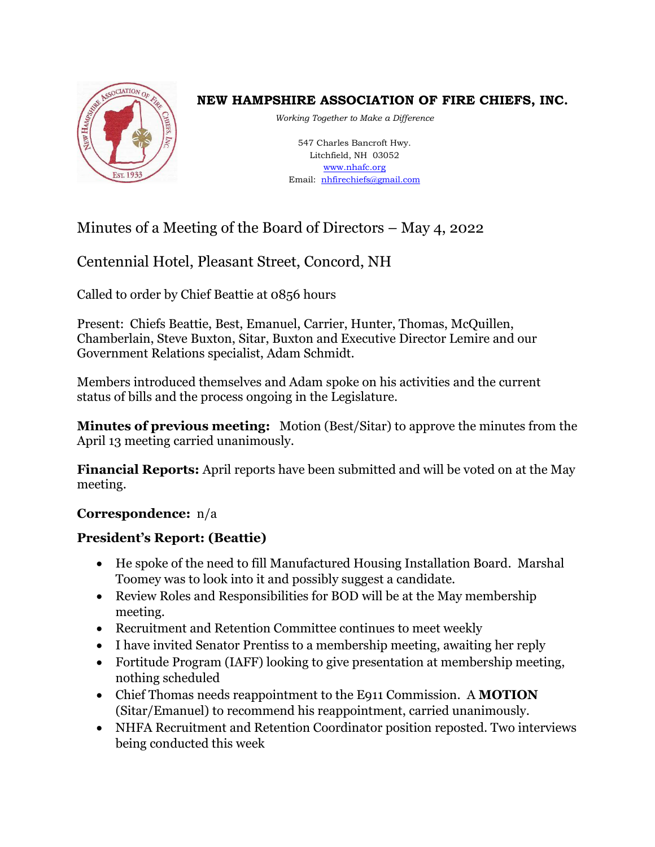

## **NEW HAMPSHIRE ASSOCIATION OF FIRE CHIEFS, INC.**

*Working Together to Make a Difference*

547 Charles Bancroft Hwy. Litchfield, NH 03052 [www.nhafc.org](about:blank) Email: [nhfirechiefs@gmail.com](about:blank)

# Minutes of a Meeting of the Board of Directors – May 4, 2022

## Centennial Hotel, Pleasant Street, Concord, NH

Called to order by Chief Beattie at 0856 hours

Present: Chiefs Beattie, Best, Emanuel, Carrier, Hunter, Thomas, McQuillen, Chamberlain, Steve Buxton, Sitar, Buxton and Executive Director Lemire and our Government Relations specialist, Adam Schmidt.

Members introduced themselves and Adam spoke on his activities and the current status of bills and the process ongoing in the Legislature.

**Minutes of previous meeting:** Motion (Best/Sitar) to approve the minutes from the April 13 meeting carried unanimously.

**Financial Reports:** April reports have been submitted and will be voted on at the May meeting.

## **Correspondence:** n/a

## **President's Report: (Beattie)**

- He spoke of the need to fill Manufactured Housing Installation Board. Marshal Toomey was to look into it and possibly suggest a candidate.
- Review Roles and Responsibilities for BOD will be at the May membership meeting.
- Recruitment and Retention Committee continues to meet weekly
- I have invited Senator Prentiss to a membership meeting, awaiting her reply
- Fortitude Program (IAFF) looking to give presentation at membership meeting, nothing scheduled
- Chief Thomas needs reappointment to the E911 Commission. A **MOTION** (Sitar/Emanuel) to recommend his reappointment, carried unanimously.
- NHFA Recruitment and Retention Coordinator position reposted. Two interviews being conducted this week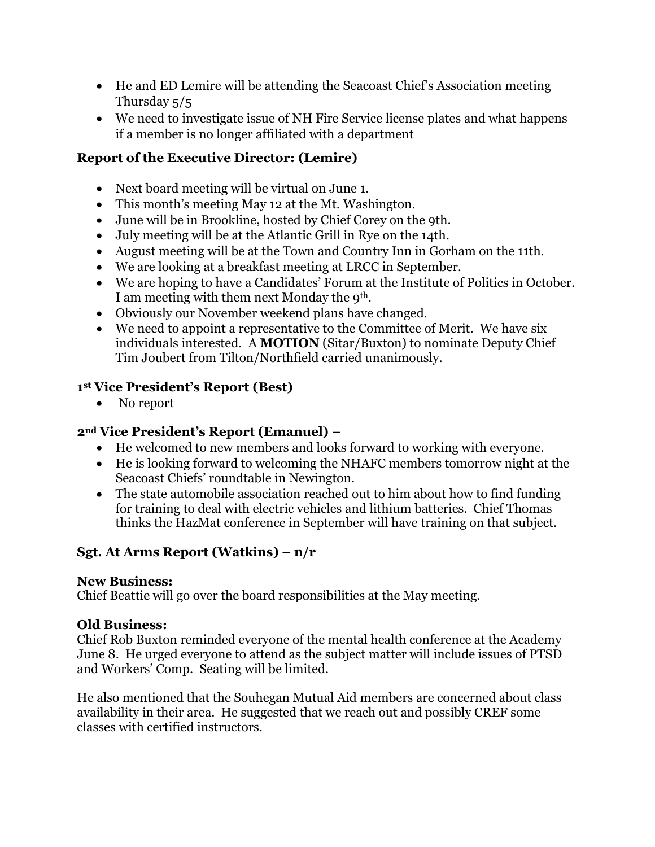- He and ED Lemire will be attending the Seacoast Chief's Association meeting Thursday 5/5
- We need to investigate issue of NH Fire Service license plates and what happens if a member is no longer affiliated with a department

### **Report of the Executive Director: (Lemire)**

- Next board meeting will be virtual on June 1.
- This month's meeting May 12 at the Mt. Washington.
- June will be in Brookline, hosted by Chief Corey on the 9th.
- July meeting will be at the Atlantic Grill in Rye on the 14th.
- August meeting will be at the Town and Country Inn in Gorham on the 11th.
- We are looking at a breakfast meeting at LRCC in September.
- We are hoping to have a Candidates' Forum at the Institute of Politics in October. I am meeting with them next Monday the 9th.
- Obviously our November weekend plans have changed.
- We need to appoint a representative to the Committee of Merit. We have six individuals interested. A **MOTION** (Sitar/Buxton) to nominate Deputy Chief Tim Joubert from Tilton/Northfield carried unanimously.

## **1 st Vice President's Report (Best)**

• No report

### **2nd Vice President's Report (Emanuel) –**

- He welcomed to new members and looks forward to working with everyone.
- He is looking forward to welcoming the NHAFC members tomorrow night at the Seacoast Chiefs' roundtable in Newington.
- The state automobile association reached out to him about how to find funding for training to deal with electric vehicles and lithium batteries. Chief Thomas thinks the HazMat conference in September will have training on that subject.

## **Sgt. At Arms Report (Watkins) – n/r**

#### **New Business:**

Chief Beattie will go over the board responsibilities at the May meeting.

#### **Old Business:**

Chief Rob Buxton reminded everyone of the mental health conference at the Academy June 8. He urged everyone to attend as the subject matter will include issues of PTSD and Workers' Comp. Seating will be limited.

He also mentioned that the Souhegan Mutual Aid members are concerned about class availability in their area. He suggested that we reach out and possibly CREF some classes with certified instructors.